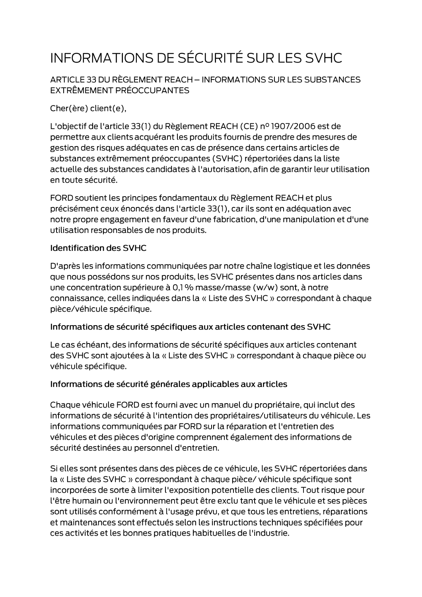# INFORMATIONS DE SÉCURITÉ SUR LES SVHC

ARTICLE 33 DU RÈGLEMENT REACH - INFORMATIONS SUR LES SUBSTANCES EXTRÊMEMENT PRÉOCCUPANTES

Cher(ère) client(e),

L'objectif de l'article 33(1) du Règlement REACH (CE) nº 1907/2006 est de permettre aux clients acquérant les produits fournis de prendre des mesures de gestion des risques adéquates en cas de présence dans certains articles de substances extrêmement préoccupantes (SVHC) répertoriées dans la liste actuelle des substances candidates à l'autorisation, afin de garantir leur utilisation en toute sécurité.

FORD soutient les principes fondamentaux du Règlement REACH et plus précisément ceux énoncés dans l'article 33(1), car ils sont en adéquation avec notre propre engagement en faveur d'une fabrication, d'une manipulation et d'une utilisation responsables de nos produits.

#### **Identification des SVHC**

D'après les informations communiquées par notre chaîne logistique et les données que nous possédons sur nos produits, les SVHC présentes dans nos articles dans une concentration supérieure à 0,1 % masse/masse (w/w) sont, à notre connaissance, celles indiquées dans la « Liste des SVHC » correspondant à chaque pièce/véhicule spécifique.

#### Informations de sécurité spécifiques aux articles contenant des SVHC

Le cas échéant, des informations de sécurité spécifiques aux articles contenant des SVHC sont ajoutées à la « Liste des SVHC » correspondant à chaque pièce ou véhicule spécifique.

#### Informations de sécurité générales applicables aux articles

Chaque véhicule FORD est fourni avec un manuel du propriétaire, qui inclut des informations de sécurité à l'intention des propriétaires/utilisateurs du véhicule. Les informations communiquées par FORD sur la réparation et l'entretien des véhicules et des pièces d'origine comprennent également des informations de sécurité destinées au personnel d'entretien.

Si elles sont présentes dans des pièces de ce véhicule, les SVHC répertoriées dans la « Liste des SVHC » correspondant à chaque pièce/ véhicule spécifique sont incorporées de sorte à limiter l'exposition potentielle des clients. Tout risque pour l'être humain ou l'environnement peut être exclu tant que le véhicule et ses pièces sont utilisés conformément à l'usage prévu, et que tous les entretiens, réparations et maintenances sont effectués selon les instructions techniques spécifiées pour ces activités et les bonnes pratiques habituelles de l'industrie.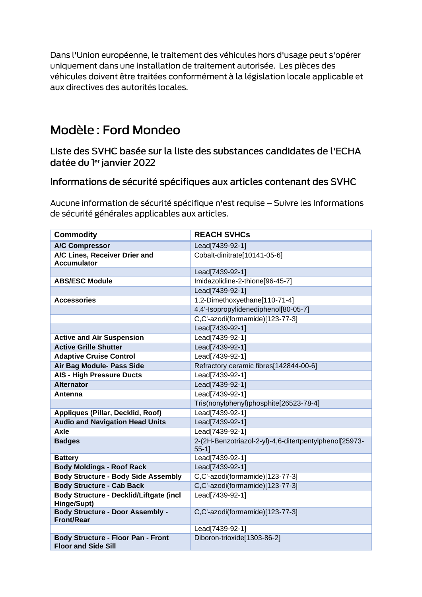Dans l'Union européenne, le traitement des véhicules hors d'usage peut s'opérer uniquement dans une installation de traitement autorisée. Les pièces des véhicules doivent être traitées conformément à la législation locale applicable et aux directives des autorités locales.

## Modèle: Ford Mondeo

Liste des SVHC basée sur la liste des substances candidates de l'ECHA datée du ler janvier 2022

### Informations de sécurité spécifiques aux articles contenant des SVHC

Aucune information de sécurité spécifique n'est requise - Suivre les Informations de sécurité générales applicables aux articles.

| <b>Commodity</b>                                                        | <b>REACH SVHCs</b>                                                 |
|-------------------------------------------------------------------------|--------------------------------------------------------------------|
| <b>A/C Compressor</b>                                                   | Lead[7439-92-1]                                                    |
| A/C Lines, Receiver Drier and<br><b>Accumulator</b>                     | Cobalt-dinitrate[10141-05-6]                                       |
|                                                                         | Lead[7439-92-1]                                                    |
| <b>ABS/ESC Module</b>                                                   | Imidazolidine-2-thione[96-45-7]                                    |
|                                                                         | Lead[7439-92-1]                                                    |
| <b>Accessories</b>                                                      | 1,2-Dimethoxyethane[110-71-4]                                      |
|                                                                         | 4,4'-Isopropylidenediphenol[80-05-7]                               |
|                                                                         | C,C'-azodi(formamide)[123-77-3]                                    |
|                                                                         | Lead[7439-92-1]                                                    |
| <b>Active and Air Suspension</b>                                        | Lead[7439-92-1]                                                    |
| <b>Active Grille Shutter</b>                                            | Lead[7439-92-1]                                                    |
| <b>Adaptive Cruise Control</b>                                          | Lead[7439-92-1]                                                    |
| Air Bag Module- Pass Side                                               | Refractory ceramic fibres[142844-00-6]                             |
| <b>AIS - High Pressure Ducts</b>                                        | Lead[7439-92-1]                                                    |
| <b>Alternator</b>                                                       | Lead[7439-92-1]                                                    |
| Antenna                                                                 | Lead[7439-92-1]                                                    |
|                                                                         | Tris(nonylphenyl)phosphite[26523-78-4]                             |
| <b>Appliques (Pillar, Decklid, Roof)</b>                                | Lead[7439-92-1]                                                    |
| <b>Audio and Navigation Head Units</b>                                  | Lead[7439-92-1]                                                    |
| Axle                                                                    | Lead[7439-92-1]                                                    |
| <b>Badges</b>                                                           | 2-(2H-Benzotriazol-2-yl)-4,6-ditertpentylphenol[25973-<br>$55-1$ ] |
| <b>Battery</b>                                                          | Lead[7439-92-1]                                                    |
| <b>Body Moldings - Roof Rack</b>                                        | Lead[7439-92-1]                                                    |
| <b>Body Structure - Body Side Assembly</b>                              | C,C'-azodi(formamide)[123-77-3]                                    |
| <b>Body Structure - Cab Back</b>                                        | C,C'-azodi(formamide)[123-77-3]                                    |
| Body Structure - Decklid/Liftgate (incl<br>Hinge/Supt)                  | Lead[7439-92-1]                                                    |
| <b>Body Structure - Door Assembly -</b><br><b>Front/Rear</b>            | C,C'-azodi(formamide)[123-77-3]                                    |
|                                                                         | Lead[7439-92-1]                                                    |
| <b>Body Structure - Floor Pan - Front</b><br><b>Floor and Side Sill</b> | Diboron-trioxide[1303-86-2]                                        |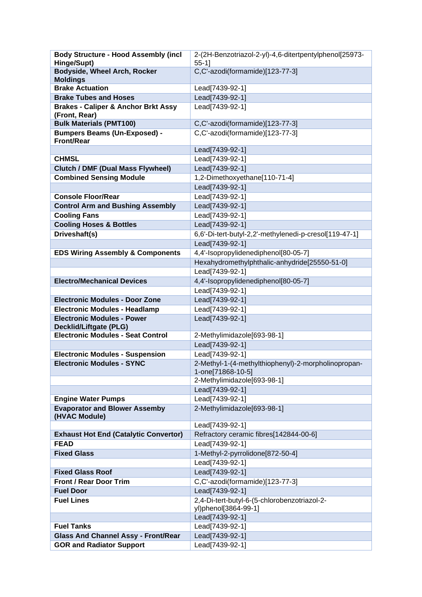| <b>Body Structure - Hood Assembly (incl</b>                     | 2-(2H-Benzotriazol-2-yl)-4,6-ditertpentylphenol[25973-    |
|-----------------------------------------------------------------|-----------------------------------------------------------|
| Hinge/Supt)                                                     | $55-1$ ]                                                  |
| Bodyside, Wheel Arch, Rocker                                    | C,C'-azodi(formamide)[123-77-3]                           |
| <b>Moldings</b>                                                 |                                                           |
| <b>Brake Actuation</b>                                          | Lead[7439-92-1]                                           |
| <b>Brake Tubes and Hoses</b>                                    | Lead[7439-92-1]                                           |
| <b>Brakes - Caliper &amp; Anchor Brkt Assy</b><br>(Front, Rear) | Lead[7439-92-1]                                           |
| <b>Bulk Materials (PMT100)</b>                                  | C,C'-azodi(formamide)[123-77-3]                           |
| <b>Bumpers Beams (Un-Exposed) -</b>                             | C,C'-azodi(formamide)[123-77-3]                           |
| <b>Front/Rear</b>                                               |                                                           |
|                                                                 | Lead[7439-92-1]                                           |
| <b>CHMSL</b>                                                    | Lead[7439-92-1]                                           |
| <b>Clutch / DMF (Dual Mass Flywheel)</b>                        | Lead[7439-92-1]                                           |
| <b>Combined Sensing Module</b>                                  | 1,2-Dimethoxyethane[110-71-4]                             |
|                                                                 | Lead[7439-92-1]                                           |
| <b>Console Floor/Rear</b>                                       | Lead[7439-92-1]                                           |
| <b>Control Arm and Bushing Assembly</b>                         | Lead[7439-92-1]                                           |
| <b>Cooling Fans</b>                                             | Lead[7439-92-1]                                           |
| <b>Cooling Hoses &amp; Bottles</b>                              | Lead[7439-92-1]                                           |
| Driveshaft(s)                                                   | 6,6'-Di-tert-butyl-2,2'-methylenedi-p-cresol[119-47-1]    |
|                                                                 | Lead[7439-92-1]                                           |
| <b>EDS Wiring Assembly &amp; Components</b>                     | 4,4'-Isopropylidenediphenol[80-05-7]                      |
|                                                                 | Hexahydromethylphthalic-anhydride[25550-51-0]             |
|                                                                 | Lead[7439-92-1]                                           |
| <b>Electro/Mechanical Devices</b>                               | 4,4'-Isopropylidenediphenol[80-05-7]                      |
|                                                                 | Lead[7439-92-1]                                           |
| <b>Electronic Modules - Door Zone</b>                           | Lead[7439-92-1]                                           |
| <b>Electronic Modules - Headlamp</b>                            | Lead[7439-92-1]                                           |
| <b>Electronic Modules - Power</b>                               | Lead[7439-92-1]                                           |
| <b>Decklid/Liftgate (PLG)</b>                                   |                                                           |
| <b>Electronic Modules - Seat Control</b>                        | 2-Methylimidazole[693-98-1]                               |
|                                                                 | Lead[7439-92-1]                                           |
| <b>Electronic Modules - Suspension</b>                          | Lead[7439-92-1]                                           |
| <b>Electronic Modules - SYNC</b>                                | 2-Methyl-1-(4-methylthiophenyl)-2-morpholinopropan-       |
|                                                                 | 1-one[71868-10-5]                                         |
|                                                                 | 2-Methylimidazole[693-98-1]                               |
|                                                                 | Lead[7439-92-1]                                           |
| <b>Engine Water Pumps</b>                                       | Lead[7439-92-1]                                           |
| <b>Evaporator and Blower Assemby</b>                            | 2-Methylimidazole[693-98-1]                               |
| (HVAC Module)                                                   |                                                           |
| <b>Exhaust Hot End (Catalytic Convertor)</b>                    | Lead[7439-92-1]<br>Refractory ceramic fibres[142844-00-6] |
| <b>FEAD</b>                                                     | Lead[7439-92-1]                                           |
| <b>Fixed Glass</b>                                              | 1-Methyl-2-pyrrolidone[872-50-4]                          |
|                                                                 | Lead[7439-92-1]                                           |
| <b>Fixed Glass Roof</b>                                         | Lead[7439-92-1]                                           |
| <b>Front / Rear Door Trim</b>                                   | C,C'-azodi(formamide)[123-77-3]                           |
| <b>Fuel Door</b>                                                | Lead[7439-92-1]                                           |
| <b>Fuel Lines</b>                                               | 2,4-Di-tert-butyl-6-(5-chlorobenzotriazol-2-              |
|                                                                 | yl)phenol[3864-99-1]                                      |
|                                                                 | Lead[7439-92-1]                                           |
| <b>Fuel Tanks</b>                                               | Lead[7439-92-1]                                           |
| <b>Glass And Channel Assy - Front/Rear</b>                      | Lead[7439-92-1]                                           |
| <b>GOR and Radiator Support</b>                                 | Lead[7439-92-1]                                           |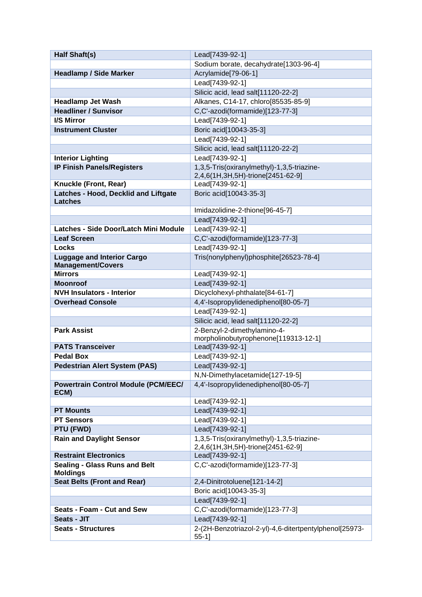| <b>Half Shaft(s)</b>                                          | Lead[7439-92-1]                                                         |
|---------------------------------------------------------------|-------------------------------------------------------------------------|
|                                                               | Sodium borate, decahydrate[1303-96-4]                                   |
| <b>Headlamp / Side Marker</b>                                 | Acrylamide[79-06-1]                                                     |
|                                                               | Lead[7439-92-1]                                                         |
|                                                               | Silicic acid, lead salt[11120-22-2]                                     |
| <b>Headlamp Jet Wash</b>                                      | Alkanes, C14-17, chloro[85535-85-9]                                     |
| <b>Headliner / Sunvisor</b>                                   | C,C'-azodi(formamide)[123-77-3]                                         |
| <b>I/S Mirror</b>                                             | Lead[7439-92-1]                                                         |
| <b>Instrument Cluster</b>                                     | Boric acid[10043-35-3]                                                  |
|                                                               | Lead[7439-92-1]                                                         |
|                                                               | Silicic acid, lead salt[11120-22-2]                                     |
| <b>Interior Lighting</b>                                      | Lead[7439-92-1]                                                         |
| <b>IP Finish Panels/Registers</b>                             | 1,3,5-Tris(oxiranylmethyl)-1,3,5-triazine-                              |
|                                                               | 2,4,6(1H,3H,5H)-trione[2451-62-9]                                       |
| Knuckle (Front, Rear)                                         | Lead[7439-92-1]                                                         |
| Latches - Hood, Decklid and Liftgate<br><b>Latches</b>        | Boric acid[10043-35-3]                                                  |
|                                                               | Imidazolidine-2-thione[96-45-7]                                         |
|                                                               | Lead[7439-92-1]                                                         |
| Latches - Side Door/Latch Mini Module                         | Lead[7439-92-1]                                                         |
| <b>Leaf Screen</b>                                            | C,C'-azodi(formamide)[123-77-3]                                         |
| Locks                                                         | Lead[7439-92-1]                                                         |
| <b>Luggage and Interior Cargo</b><br><b>Management/Covers</b> | Tris(nonylphenyl)phosphite[26523-78-4]                                  |
| <b>Mirrors</b>                                                | Lead[7439-92-1]                                                         |
| <b>Moonroof</b>                                               | Lead[7439-92-1]                                                         |
| <b>NVH Insulators - Interior</b>                              | Dicyclohexyl-phthalate[84-61-7]                                         |
| <b>Overhead Console</b>                                       | 4,4'-Isopropylidenediphenol[80-05-7]                                    |
|                                                               | Lead[7439-92-1]                                                         |
|                                                               | Silicic acid, lead salt[11120-22-2]                                     |
| <b>Park Assist</b>                                            | 2-Benzyl-2-dimethylamino-4-                                             |
|                                                               | morpholinobutyrophenone[119313-12-1]                                    |
| <b>PATS Transceiver</b>                                       | Lead[7439-92-1]                                                         |
| <b>Pedal Box</b>                                              | Lead[7439-92-1]                                                         |
| <b>Pedestrian Alert System (PAS)</b>                          | Lead[7439-92-1]                                                         |
| <b>Powertrain Control Module (PCM/EEC/</b>                    | N,N-Dimethylacetamide[127-19-5]<br>4,4'-Isopropylidenediphenol[80-05-7] |
| ECM)                                                          |                                                                         |
|                                                               | Lead[7439-92-1]                                                         |
| <b>PT Mounts</b>                                              | Lead[7439-92-1]                                                         |
| <b>PT Sensors</b>                                             | Lead[7439-92-1]                                                         |
| PTU (FWD)                                                     | Lead[7439-92-1]                                                         |
| <b>Rain and Daylight Sensor</b>                               | 1,3,5-Tris(oxiranylmethyl)-1,3,5-triazine-                              |
|                                                               | 2,4,6(1H,3H,5H)-trione[2451-62-9]                                       |
| <b>Restraint Electronics</b>                                  | Lead[7439-92-1]                                                         |
| <b>Sealing - Glass Runs and Belt</b><br><b>Moldings</b>       | C,C'-azodi(formamide)[123-77-3]                                         |
| <b>Seat Belts (Front and Rear)</b>                            | 2,4-Dinitrotoluene[121-14-2]                                            |
|                                                               | Boric acid[10043-35-3]                                                  |
|                                                               | Lead[7439-92-1]                                                         |
| Seats - Foam - Cut and Sew                                    | C,C'-azodi(formamide)[123-77-3]                                         |
| Seats - JIT                                                   | Lead[7439-92-1]                                                         |
| <b>Seats - Structures</b>                                     | 2-(2H-Benzotriazol-2-yl)-4,6-ditertpentylphenol[25973-                  |
|                                                               | $55-1$ ]                                                                |